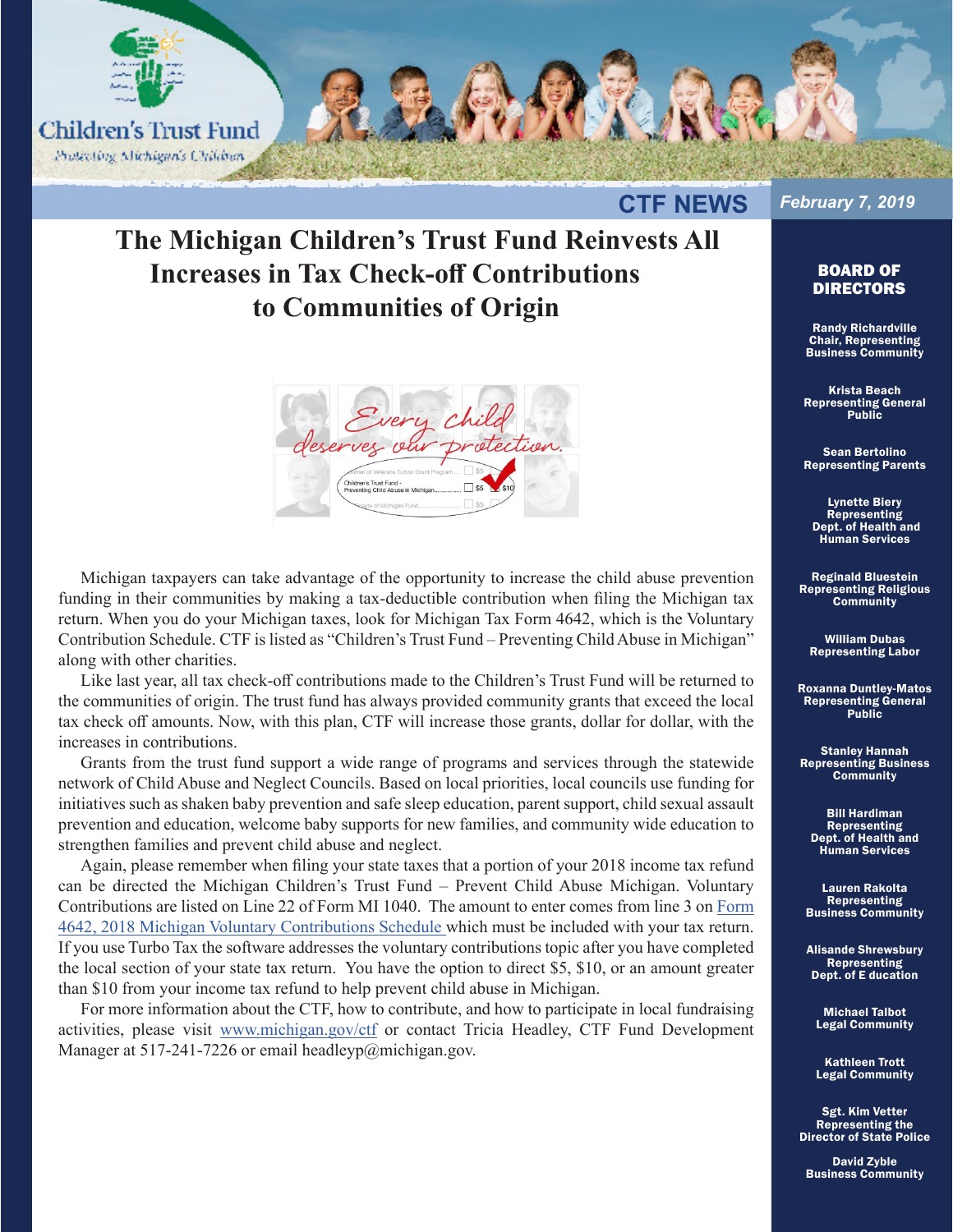

**CTF NEWS** 

## **The Michigan Children's Trust Fund Reinvests All Increases in Tax Check-off Contributions to Communities of Origin**



Michigan taxpayers can take advantage of the opportunity to increase the child abuse prevention funding in their communities by making a tax-deductible contribution when filing the Michigan tax return. When you do your Michigan taxes, look for Michigan Tax Form 4642, which is the Voluntary Contribution Schedule. CTF is listed as "Children's Trust Fund – Preventing Child Abuse in Michigan" along with other charities.

Like last year, all tax check-off contributions made to the Children's Trust Fund will be returned to the communities of origin. The trust fund has always provided community grants that exceed the local tax check off amounts. Now, with this plan, CTF will increase those grants, dollar for dollar, with the increases in contributions.

Grants from the trust fund support a wide range of programs and services through the statewide network of Child Abuse and Neglect Councils. Based on local priorities, local councils use funding for initiatives such as shaken baby prevention and safe sleep education, parent support, child sexual assault prevention and education, welcome baby supports for new families, and community wide education to strengthen families and prevent child abuse and neglect.

Again, please remember when filing your state taxes that a portion of your 2018 income tax refund can be directed the Michigan Children's Trust Fund – Prevent Child Abuse Michigan. Voluntary Contributions are listed on Line 22 of Form MI 1040. The amount to enter comes from line 3 on Form 4642, 2018 Michigan Voluntary Contributions Schedule which must be included with your tax return. If you use Turbo Tax the software addresses the voluntary contributions topic after you have completed the local section of your state tax return. You have the option to direct \$5, \$10, or an amount greater than \$10 from your income tax refund to help prevent child abuse in Michigan.

For more information about the CTF, how to contribute, and how to participate in local fundraising activities, please visit www.michigan.gov/ctf or contact Tricia Headley, CTF Fund Development Manager at 517-241-7226 or email headleyp@michigan.gov.

## *February 7, 2019*

## BOARD OF DIRECTORS

Randy Richardville Chair, Representing Business Community

Krista Beach Representing General Public

Sean Bertolino Representing Parents

Lynette Biery Representing Dept. of Health and Human Services

Reginald Bluestein Representing Religious **Community** 

William Dubas Representing Labor

Roxanna Duntley-Matos Representing General Public

Stanley Hannah Representing Business **Community** 

Bill Hardiman **Representing** Dept. of Health and Human Services

Lauren Rakolta Representing Business Community

Alisande Shrewsbury Representing Dept. of E ducation

Michael Talbot Legal Community

Kathleen Trott Legal Community

Sgt. Kim Vetter Representing the Director of State Police

David Zyble Business Community